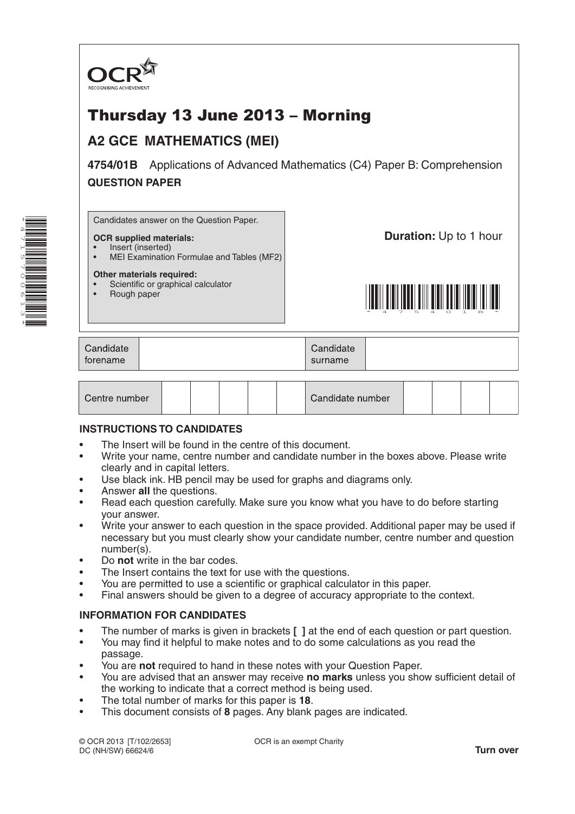

# Thursday 13 June 2013 – Morning

## **A2 GCE MATHEMATICS (MEI)**

**4754/01B** Applications of Advanced Mathematics (C4) Paper B: Comprehension **QUESTION PAPER**

Candidates answer on the Question Paper.

#### **OCR supplied materials:** • Insert (inserted)

**Duration: Up to 1 hour** 



#### **Other materials required:**

- Scientific or graphical calculator
- Rough paper

<u>\* 1 8 7 6 7 7 7 7 7 7 8 7 7 7 7 7 7 7 7 7 8 7 7 8 7 8 </u>

| Candidate | Candidate |  |
|-----------|-----------|--|
| torename  | surname   |  |

| Centre number |  |  |  |  |  | Candidate number |  |  |  |  |  |
|---------------|--|--|--|--|--|------------------|--|--|--|--|--|
|---------------|--|--|--|--|--|------------------|--|--|--|--|--|

#### **INSTRUCTIONS TO CANDIDATES**

- The Insert will be found in the centre of this document.
- Write your name, centre number and candidate number in the boxes above. Please write clearly and in capital letters.
- Use black ink. HB pencil may be used for graphs and diagrams only.
- Answer **all** the questions.
- Read each question carefully. Make sure you know what you have to do before starting your answer.
- Write your answer to each question in the space provided. Additional paper may be used if necessary but you must clearly show your candidate number, centre number and question number(s).
- Do **not** write in the bar codes.
- The Insert contains the text for use with the questions.
- You are permitted to use a scientific or graphical calculator in this paper.
- Final answers should be given to a degree of accuracy appropriate to the context.

### **INFORMATION FOR CANDIDATES**

- The number of marks is given in brackets **[ ]** at the end of each question or part question.
- You may find it helpful to make notes and to do some calculations as you read the passage.
- You are **not** required to hand in these notes with your Question Paper.
- You are advised that an answer may receive **no marks** unless you show sufficient detail of the working to indicate that a correct method is being used.
- The total number of marks for this paper is **18**.
- This document consists of **8** pages. Any blank pages are indicated.

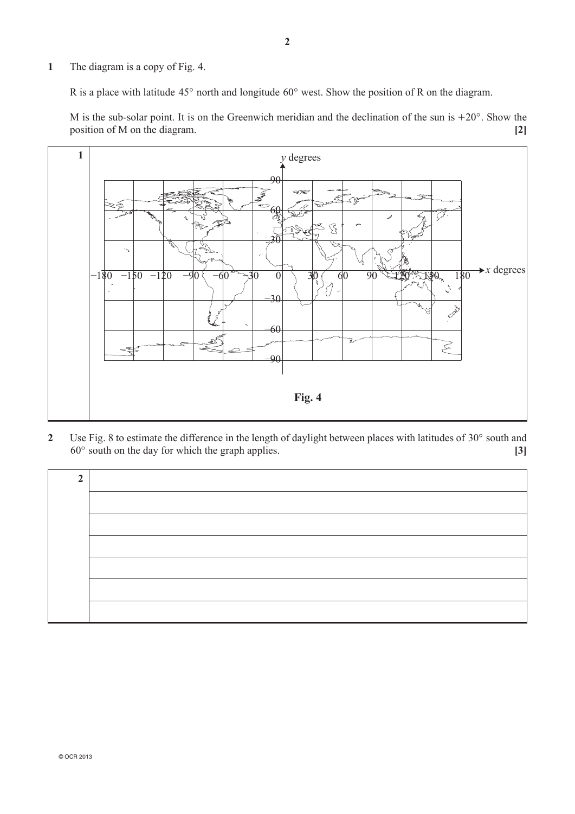**1**  The diagram is a copy of Fig. 4.

R is a place with latitude  $45^{\circ}$  north and longitude  $60^{\circ}$  west. Show the position of R on the diagram.

M is the sub-solar point. It is on the Greenwich meridian and the declination of the sun is  $+20^{\circ}$ . Show the position of M on the diagram. **[2]**



2 Use Fig. 8 to estimate the difference in the length of daylight between places with latitudes of 30° south and  $60^\circ$  south on the day for which the graph applies.  $[3]$ 

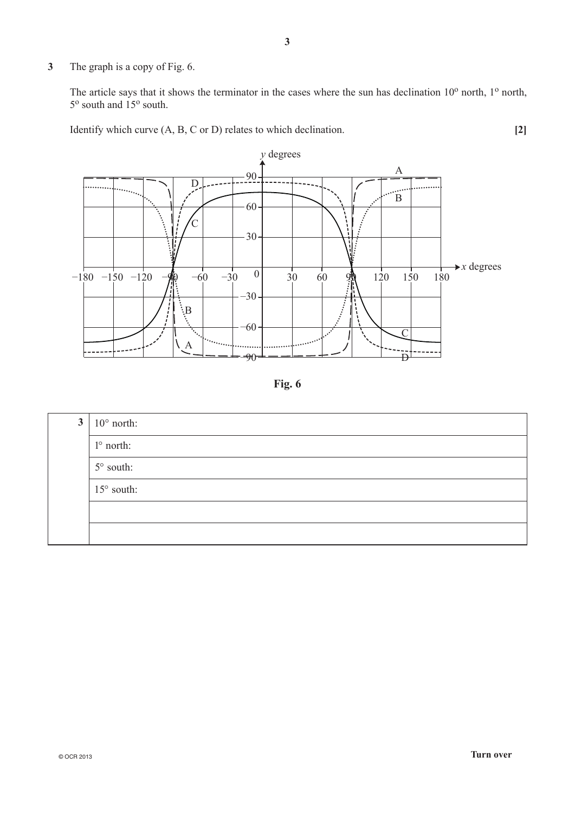**3**  The graph is a copy of Fig. 6.

The article says that it shows the terminator in the cases where the sun has declination  $10^{\circ}$  north,  $1^{\circ}$  north, 5<sup>o</sup> south and 15<sup>o</sup> south.

Identify which curve  $(A, B, C \text{ or } D)$  relates to which declination. **[2]** 



**Fig. 6**

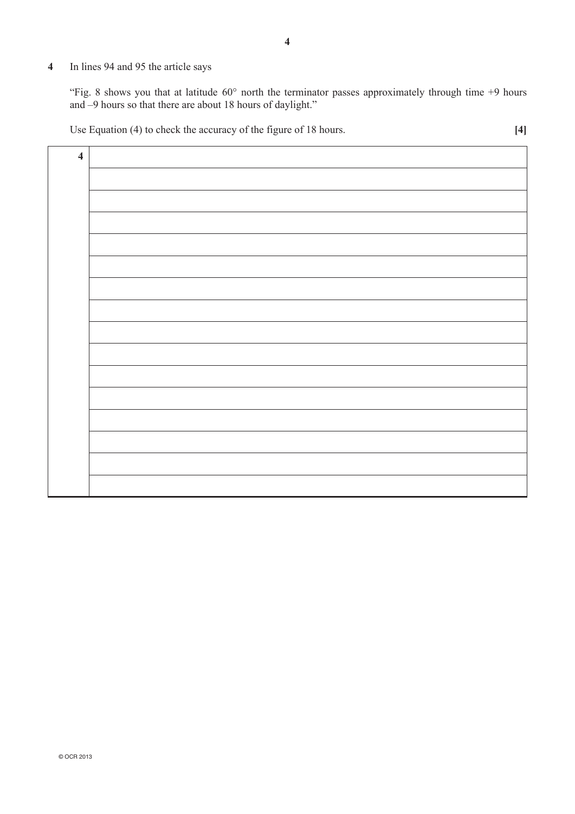## **4**  In lines 94 and 95 the article says

"Fig. 8 shows you that at latitude  $60^{\circ}$  north the terminator passes approximately through time +9 hours and –9 hours so that there are about 18 hours of daylight."

Use Equation (4) to check the accuracy of the figure of 18 hours. **[4]**

| $\overline{\mathbf{4}}$ |  |
|-------------------------|--|
|                         |  |
|                         |  |
|                         |  |
|                         |  |
|                         |  |
|                         |  |
|                         |  |
|                         |  |
|                         |  |
|                         |  |
|                         |  |
|                         |  |
|                         |  |
|                         |  |
|                         |  |
|                         |  |
|                         |  |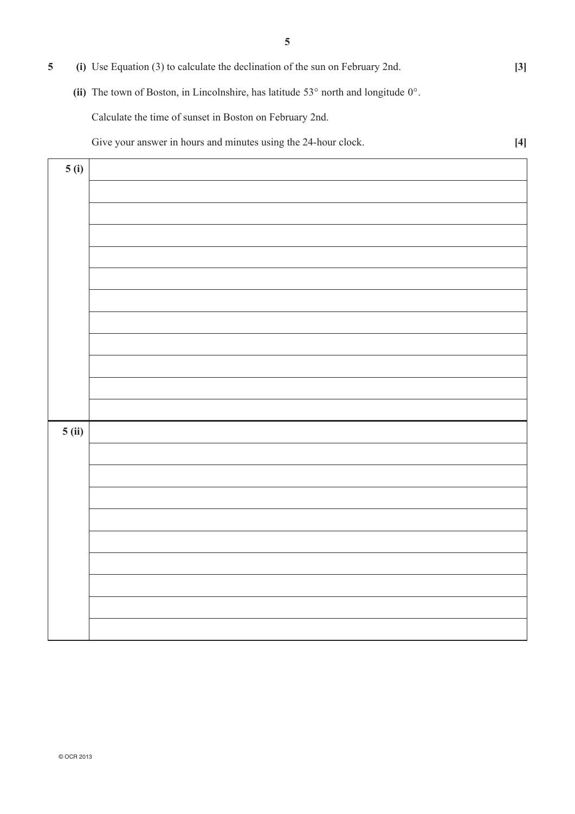| (i) Use Equation (3) to calculate the declination of the sun on February 2nd.                         | $\left 3\right $ |
|-------------------------------------------------------------------------------------------------------|------------------|
| (ii) The town of Boston, in Lincolnshire, has latitude $53^{\circ}$ north and longitude $0^{\circ}$ . |                  |
| Calculate the time of sunset in Boston on February 2nd.                                               |                  |
| Give your answer in hours and minutes using the 24-hour clock.                                        |                  |

| 5(i)          |  |
|---------------|--|
|               |  |
|               |  |
|               |  |
|               |  |
|               |  |
|               |  |
|               |  |
|               |  |
|               |  |
|               |  |
|               |  |
|               |  |
| <b>5</b> (ii) |  |
|               |  |
|               |  |
|               |  |
|               |  |
|               |  |
|               |  |
|               |  |
|               |  |
|               |  |
|               |  |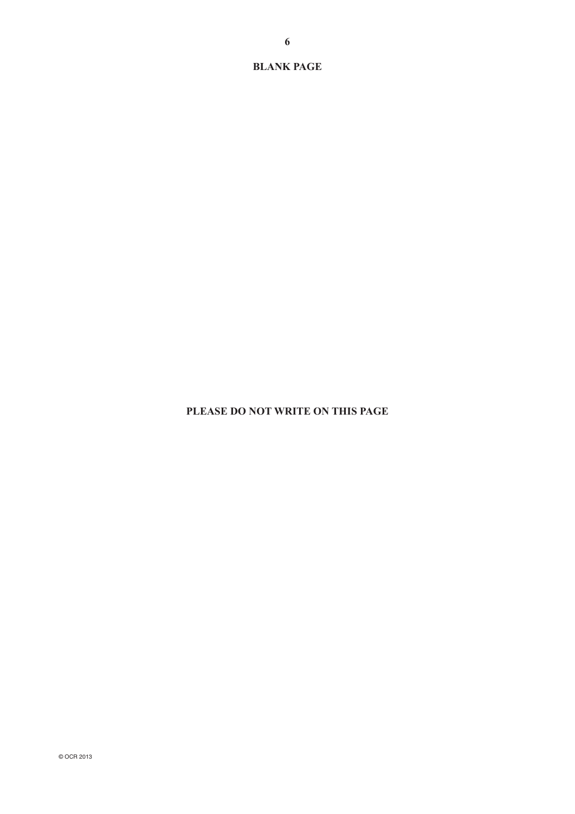**BLANK PAGE**

#### **PLEASE DO NOT WRITE ON THIS PAGE**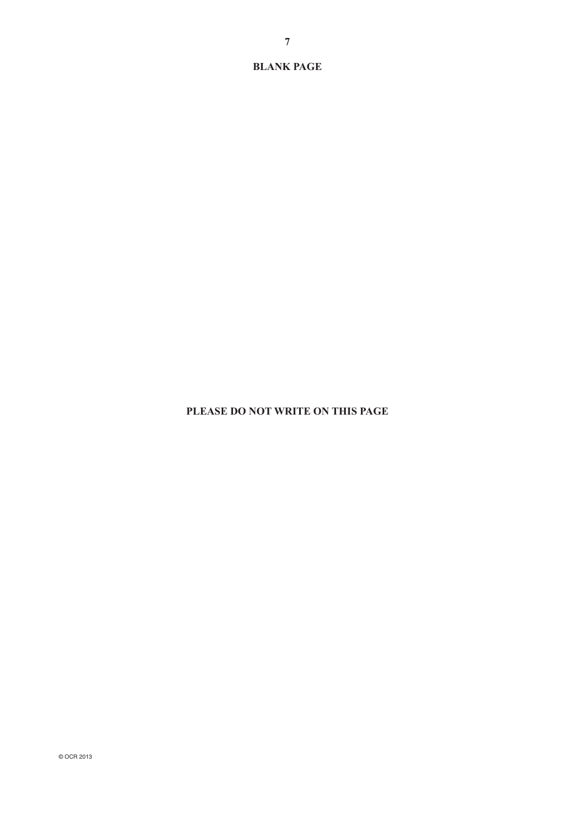**BLANK PAGE**

#### **PLEASE DO NOT WRITE ON THIS PAGE**